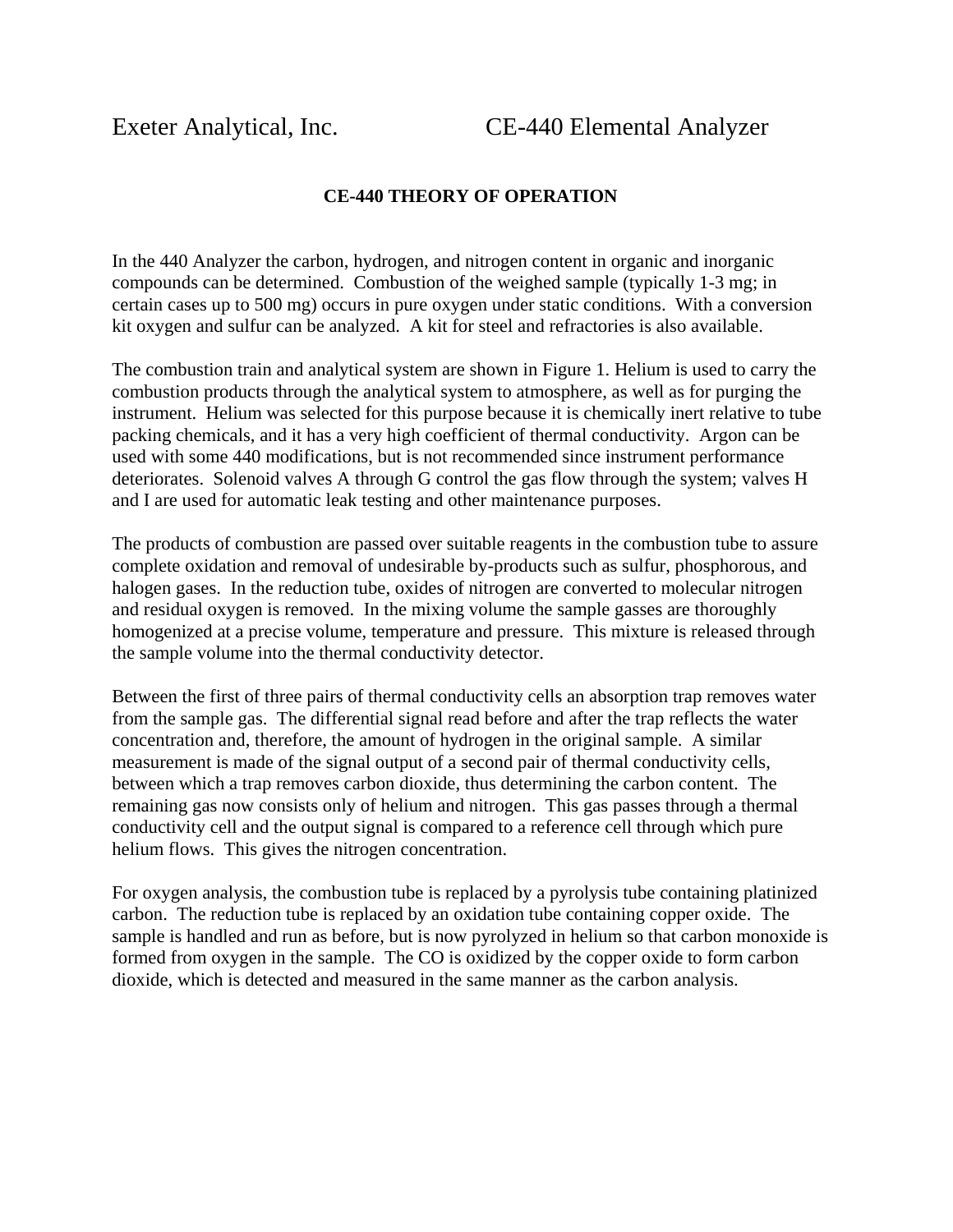## **CE-440 THEORY OF OPERATION**

In the 440 Analyzer the carbon, hydrogen, and nitrogen content in organic and inorganic compounds can be determined. Combustion of the weighed sample (typically 1-3 mg; in certain cases up to 500 mg) occurs in pure oxygen under static conditions. With a conversion kit oxygen and sulfur can be analyzed. A kit for steel and refractories is also available.

The combustion train and analytical system are shown in Figure 1. Helium is used to carry the combustion products through the analytical system to atmosphere, as well as for purging the instrument. Helium was selected for this purpose because it is chemically inert relative to tube packing chemicals, and it has a very high coefficient of thermal conductivity. Argon can be used with some 440 modifications, but is not recommended since instrument performance deteriorates. Solenoid valves A through G control the gas flow through the system; valves H and I are used for automatic leak testing and other maintenance purposes.

The products of combustion are passed over suitable reagents in the combustion tube to assure complete oxidation and removal of undesirable by-products such as sulfur, phosphorous, and halogen gases. In the reduction tube, oxides of nitrogen are converted to molecular nitrogen and residual oxygen is removed. In the mixing volume the sample gasses are thoroughly homogenized at a precise volume, temperature and pressure. This mixture is released through the sample volume into the thermal conductivity detector.

Between the first of three pairs of thermal conductivity cells an absorption trap removes water from the sample gas. The differential signal read before and after the trap reflects the water concentration and, therefore, the amount of hydrogen in the original sample. A similar measurement is made of the signal output of a second pair of thermal conductivity cells, between which a trap removes carbon dioxide, thus determining the carbon content. The remaining gas now consists only of helium and nitrogen. This gas passes through a thermal conductivity cell and the output signal is compared to a reference cell through which pure helium flows. This gives the nitrogen concentration.

For oxygen analysis, the combustion tube is replaced by a pyrolysis tube containing platinized carbon. The reduction tube is replaced by an oxidation tube containing copper oxide. The sample is handled and run as before, but is now pyrolyzed in helium so that carbon monoxide is formed from oxygen in the sample. The CO is oxidized by the copper oxide to form carbon dioxide, which is detected and measured in the same manner as the carbon analysis.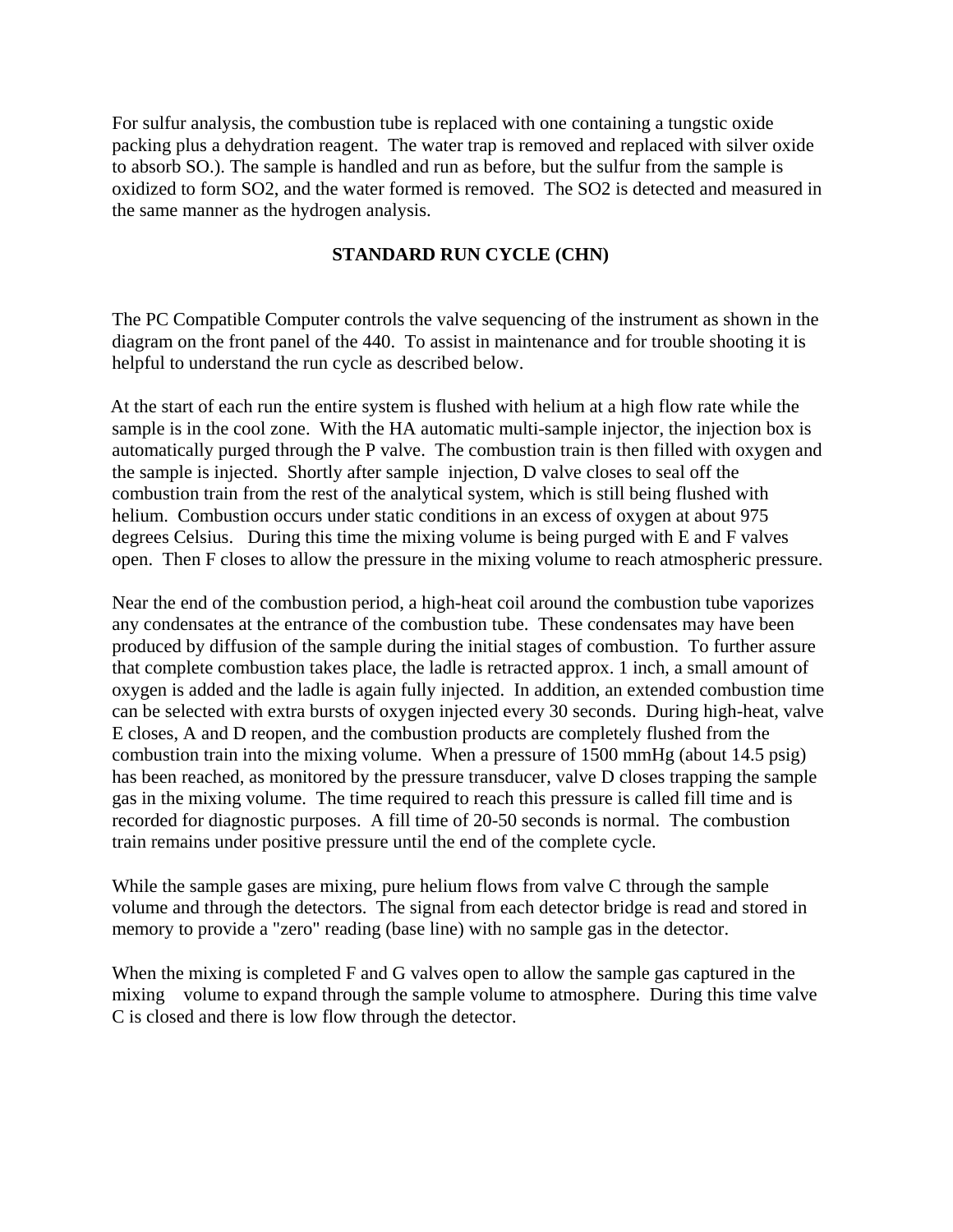For sulfur analysis, the combustion tube is replaced with one containing a tungstic oxide packing plus a dehydration reagent. The water trap is removed and replaced with silver oxide to absorb SO.). The sample is handled and run as before, but the sulfur from the sample is oxidized to form SO2, and the water formed is removed. The SO2 is detected and measured in the same manner as the hydrogen analysis.

## **STANDARD RUN CYCLE (CHN)**

The PC Compatible Computer controls the valve sequencing of the instrument as shown in the diagram on the front panel of the 440. To assist in maintenance and for trouble shooting it is helpful to understand the run cycle as described below.

At the start of each run the entire system is flushed with helium at a high flow rate while the sample is in the cool zone. With the HA automatic multi-sample injector, the injection box is automatically purged through the P valve. The combustion train is then filled with oxygen and the sample is injected. Shortly after sample injection, D valve closes to seal off the combustion train from the rest of the analytical system, which is still being flushed with helium. Combustion occurs under static conditions in an excess of oxygen at about 975 degrees Celsius. During this time the mixing volume is being purged with E and F valves open. Then F closes to allow the pressure in the mixing volume to reach atmospheric pressure.

Near the end of the combustion period, a high-heat coil around the combustion tube vaporizes any condensates at the entrance of the combustion tube. These condensates may have been produced by diffusion of the sample during the initial stages of combustion. To further assure that complete combustion takes place, the ladle is retracted approx. 1 inch, a small amount of oxygen is added and the ladle is again fully injected. In addition, an extended combustion time can be selected with extra bursts of oxygen injected every 30 seconds. During high-heat, valve E closes, A and D reopen, and the combustion products are completely flushed from the combustion train into the mixing volume. When a pressure of 1500 mmHg (about 14.5 psig) has been reached, as monitored by the pressure transducer, valve D closes trapping the sample gas in the mixing volume. The time required to reach this pressure is called fill time and is recorded for diagnostic purposes. A fill time of 20-50 seconds is normal. The combustion train remains under positive pressure until the end of the complete cycle.

While the sample gases are mixing, pure helium flows from valve C through the sample volume and through the detectors. The signal from each detector bridge is read and stored in memory to provide a "zero" reading (base line) with no sample gas in the detector.

When the mixing is completed F and G valves open to allow the sample gas captured in the mixing volume to expand through the sample volume to atmosphere. During this time valve C is closed and there is low flow through the detector.